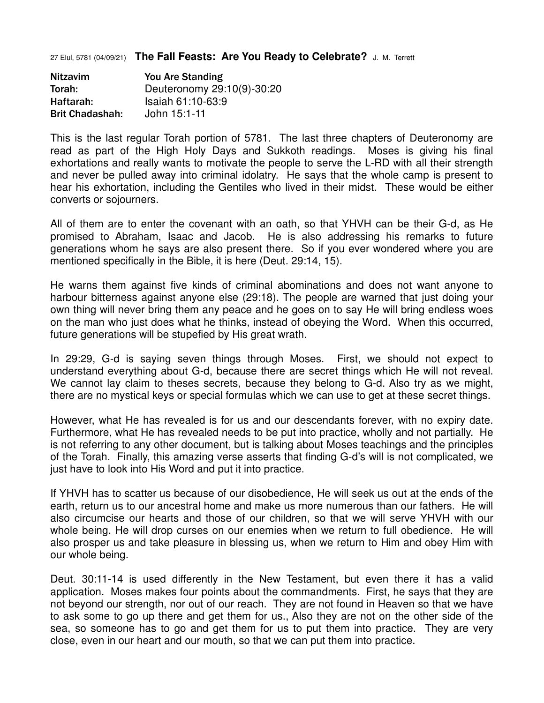27 Elul, 5781 (04/09/21) **The Fall Feasts: Are You Ready to Celebrate?** J. M. Terrett

Nitzavim You Are Standing Torah: Deuteronomy 29:10(9)-30:20 Haftarah: Isaiah 61:10-63:9 Brit Chadashah: John 15:1-11

This is the last regular Torah portion of 5781. The last three chapters of Deuteronomy are read as part of the High Holy Days and Sukkoth readings. Moses is giving his final exhortations and really wants to motivate the people to serve the L-RD with all their strength and never be pulled away into criminal idolatry. He says that the whole camp is present to hear his exhortation, including the Gentiles who lived in their midst. These would be either converts or sojourners.

All of them are to enter the covenant with an oath, so that YHVH can be their G-d, as He promised to Abraham, Isaac and Jacob. He is also addressing his remarks to future generations whom he says are also present there. So if you ever wondered where you are mentioned specifically in the Bible, it is here (Deut. 29:14, 15).

He warns them against five kinds of criminal abominations and does not want anyone to harbour bitterness against anyone else (29:18). The people are warned that just doing your own thing will never bring them any peace and he goes on to say He will bring endless woes on the man who just does what he thinks, instead of obeying the Word. When this occurred, future generations will be stupefied by His great wrath.

In 29:29, G-d is saying seven things through Moses. First, we should not expect to understand everything about G-d, because there are secret things which He will not reveal. We cannot lay claim to theses secrets, because they belong to G-d. Also try as we might, there are no mystical keys or special formulas which we can use to get at these secret things.

However, what He has revealed is for us and our descendants forever, with no expiry date. Furthermore, what He has revealed needs to be put into practice, wholly and not partially. He is not referring to any other document, but is talking about Moses teachings and the principles of the Torah. Finally, this amazing verse asserts that finding G-d's will is not complicated, we just have to look into His Word and put it into practice.

If YHVH has to scatter us because of our disobedience, He will seek us out at the ends of the earth, return us to our ancestral home and make us more numerous than our fathers. He will also circumcise our hearts and those of our children, so that we will serve YHVH with our whole being. He will drop curses on our enemies when we return to full obedience. He will also prosper us and take pleasure in blessing us, when we return to Him and obey Him with our whole being.

Deut. 30:11-14 is used differently in the New Testament, but even there it has a valid application. Moses makes four points about the commandments. First, he says that they are not beyond our strength, nor out of our reach. They are not found in Heaven so that we have to ask some to go up there and get them for us., Also they are not on the other side of the sea, so someone has to go and get them for us to put them into practice. They are very close, even in our heart and our mouth, so that we can put them into practice.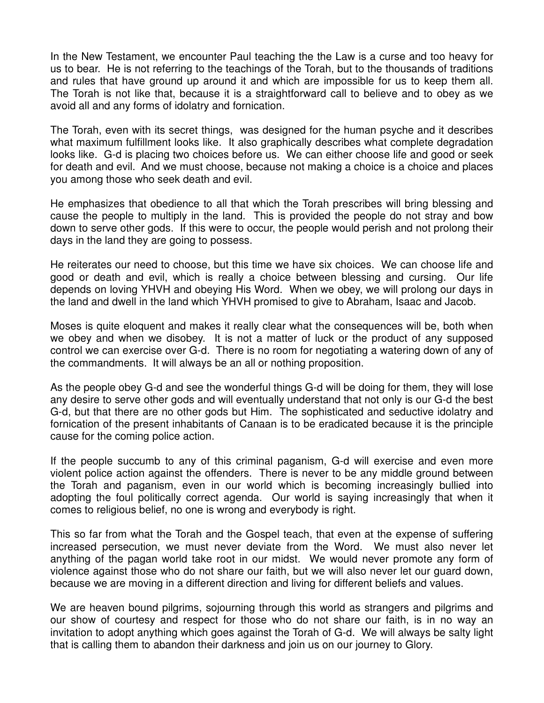In the New Testament, we encounter Paul teaching the the Law is a curse and too heavy for us to bear. He is not referring to the teachings of the Torah, but to the thousands of traditions and rules that have ground up around it and which are impossible for us to keep them all. The Torah is not like that, because it is a straightforward call to believe and to obey as we avoid all and any forms of idolatry and fornication.

The Torah, even with its secret things, was designed for the human psyche and it describes what maximum fulfillment looks like. It also graphically describes what complete degradation looks like. G-d is placing two choices before us. We can either choose life and good or seek for death and evil. And we must choose, because not making a choice is a choice and places you among those who seek death and evil.

He emphasizes that obedience to all that which the Torah prescribes will bring blessing and cause the people to multiply in the land. This is provided the people do not stray and bow down to serve other gods. If this were to occur, the people would perish and not prolong their days in the land they are going to possess.

He reiterates our need to choose, but this time we have six choices. We can choose life and good or death and evil, which is really a choice between blessing and cursing. Our life depends on loving YHVH and obeying His Word. When we obey, we will prolong our days in the land and dwell in the land which YHVH promised to give to Abraham, Isaac and Jacob.

Moses is quite eloquent and makes it really clear what the consequences will be, both when we obey and when we disobey. It is not a matter of luck or the product of any supposed control we can exercise over G-d. There is no room for negotiating a watering down of any of the commandments. It will always be an all or nothing proposition.

As the people obey G-d and see the wonderful things G-d will be doing for them, they will lose any desire to serve other gods and will eventually understand that not only is our G-d the best G-d, but that there are no other gods but Him. The sophisticated and seductive idolatry and fornication of the present inhabitants of Canaan is to be eradicated because it is the principle cause for the coming police action.

If the people succumb to any of this criminal paganism, G-d will exercise and even more violent police action against the offenders. There is never to be any middle ground between the Torah and paganism, even in our world which is becoming increasingly bullied into adopting the foul politically correct agenda. Our world is saying increasingly that when it comes to religious belief, no one is wrong and everybody is right.

This so far from what the Torah and the Gospel teach, that even at the expense of suffering increased persecution, we must never deviate from the Word. We must also never let anything of the pagan world take root in our midst. We would never promote any form of violence against those who do not share our faith, but we will also never let our guard down, because we are moving in a different direction and living for different beliefs and values.

We are heaven bound pilgrims, sojourning through this world as strangers and pilgrims and our show of courtesy and respect for those who do not share our faith, is in no way an invitation to adopt anything which goes against the Torah of G-d. We will always be salty light that is calling them to abandon their darkness and join us on our journey to Glory.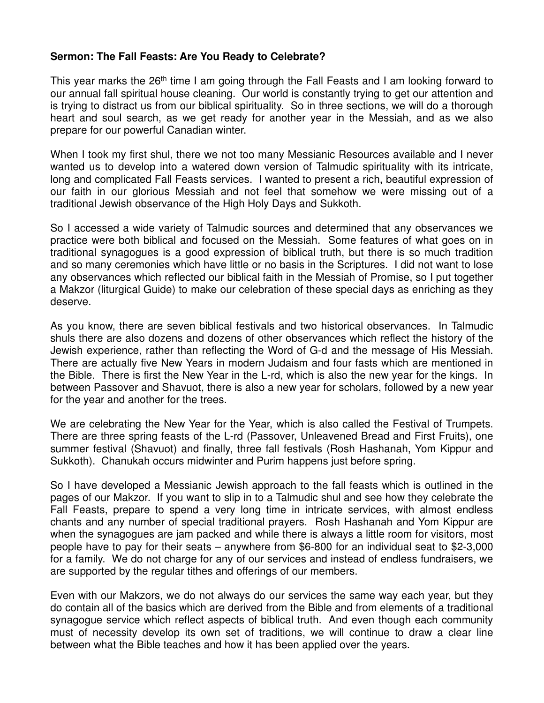## **Sermon: The Fall Feasts: Are You Ready to Celebrate?**

This year marks the 26<sup>th</sup> time I am going through the Fall Feasts and I am looking forward to our annual fall spiritual house cleaning. Our world is constantly trying to get our attention and is trying to distract us from our biblical spirituality. So in three sections, we will do a thorough heart and soul search, as we get ready for another year in the Messiah, and as we also prepare for our powerful Canadian winter.

When I took my first shul, there we not too many Messianic Resources available and I never wanted us to develop into a watered down version of Talmudic spirituality with its intricate, long and complicated Fall Feasts services. I wanted to present a rich, beautiful expression of our faith in our glorious Messiah and not feel that somehow we were missing out of a traditional Jewish observance of the High Holy Days and Sukkoth.

So I accessed a wide variety of Talmudic sources and determined that any observances we practice were both biblical and focused on the Messiah. Some features of what goes on in traditional synagogues is a good expression of biblical truth, but there is so much tradition and so many ceremonies which have little or no basis in the Scriptures. I did not want to lose any observances which reflected our biblical faith in the Messiah of Promise, so I put together a Makzor (liturgical Guide) to make our celebration of these special days as enriching as they deserve.

As you know, there are seven biblical festivals and two historical observances. In Talmudic shuls there are also dozens and dozens of other observances which reflect the history of the Jewish experience, rather than reflecting the Word of G-d and the message of His Messiah. There are actually five New Years in modern Judaism and four fasts which are mentioned in the Bible. There is first the New Year in the L-rd, which is also the new year for the kings. In between Passover and Shavuot, there is also a new year for scholars, followed by a new year for the year and another for the trees.

We are celebrating the New Year for the Year, which is also called the Festival of Trumpets. There are three spring feasts of the L-rd (Passover, Unleavened Bread and First Fruits), one summer festival (Shavuot) and finally, three fall festivals (Rosh Hashanah, Yom Kippur and Sukkoth). Chanukah occurs midwinter and Purim happens just before spring.

So I have developed a Messianic Jewish approach to the fall feasts which is outlined in the pages of our Makzor. If you want to slip in to a Talmudic shul and see how they celebrate the Fall Feasts, prepare to spend a very long time in intricate services, with almost endless chants and any number of special traditional prayers. Rosh Hashanah and Yom Kippur are when the synagogues are jam packed and while there is always a little room for visitors, most people have to pay for their seats – anywhere from \$6-800 for an individual seat to \$2-3,000 for a family. We do not charge for any of our services and instead of endless fundraisers, we are supported by the regular tithes and offerings of our members.

Even with our Makzors, we do not always do our services the same way each year, but they do contain all of the basics which are derived from the Bible and from elements of a traditional synagogue service which reflect aspects of biblical truth. And even though each community must of necessity develop its own set of traditions, we will continue to draw a clear line between what the Bible teaches and how it has been applied over the years.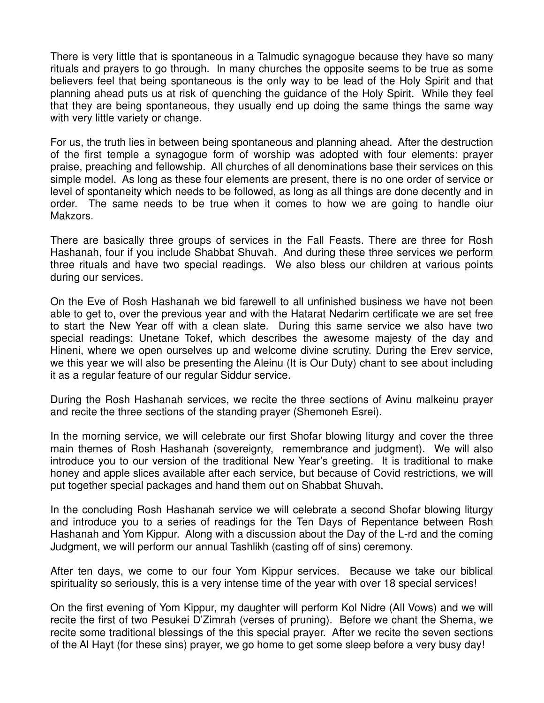There is very little that is spontaneous in a Talmudic synagogue because they have so many rituals and prayers to go through. In many churches the opposite seems to be true as some believers feel that being spontaneous is the only way to be lead of the Holy Spirit and that planning ahead puts us at risk of quenching the guidance of the Holy Spirit. While they feel that they are being spontaneous, they usually end up doing the same things the same way with very little variety or change.

For us, the truth lies in between being spontaneous and planning ahead. After the destruction of the first temple a synagogue form of worship was adopted with four elements: prayer praise, preaching and fellowship. All churches of all denominations base their services on this simple model. As long as these four elements are present, there is no one order of service or level of spontaneity which needs to be followed, as long as all things are done decently and in order. The same needs to be true when it comes to how we are going to handle oiur Makzors.

There are basically three groups of services in the Fall Feasts. There are three for Rosh Hashanah, four if you include Shabbat Shuvah. And during these three services we perform three rituals and have two special readings. We also bless our children at various points during our services.

On the Eve of Rosh Hashanah we bid farewell to all unfinished business we have not been able to get to, over the previous year and with the Hatarat Nedarim certificate we are set free to start the New Year off with a clean slate. During this same service we also have two special readings: Unetane Tokef, which describes the awesome majesty of the day and Hineni, where we open ourselves up and welcome divine scrutiny. During the Erev service, we this year we will also be presenting the Aleinu (It is Our Duty) chant to see about including it as a regular feature of our regular Siddur service.

During the Rosh Hashanah services, we recite the three sections of Avinu malkeinu prayer and recite the three sections of the standing prayer (Shemoneh Esrei).

In the morning service, we will celebrate our first Shofar blowing liturgy and cover the three main themes of Rosh Hashanah (sovereignty, remembrance and judgment). We will also introduce you to our version of the traditional New Year's greeting. It is traditional to make honey and apple slices available after each service, but because of Covid restrictions, we will put together special packages and hand them out on Shabbat Shuvah.

In the concluding Rosh Hashanah service we will celebrate a second Shofar blowing liturgy and introduce you to a series of readings for the Ten Days of Repentance between Rosh Hashanah and Yom Kippur. Along with a discussion about the Day of the L-rd and the coming Judgment, we will perform our annual Tashlikh (casting off of sins) ceremony.

After ten days, we come to our four Yom Kippur services. Because we take our biblical spirituality so seriously, this is a very intense time of the year with over 18 special services!

On the first evening of Yom Kippur, my daughter will perform Kol Nidre (All Vows) and we will recite the first of two Pesukei D'Zimrah (verses of pruning). Before we chant the Shema, we recite some traditional blessings of the this special prayer. After we recite the seven sections of the Al Hayt (for these sins) prayer, we go home to get some sleep before a very busy day!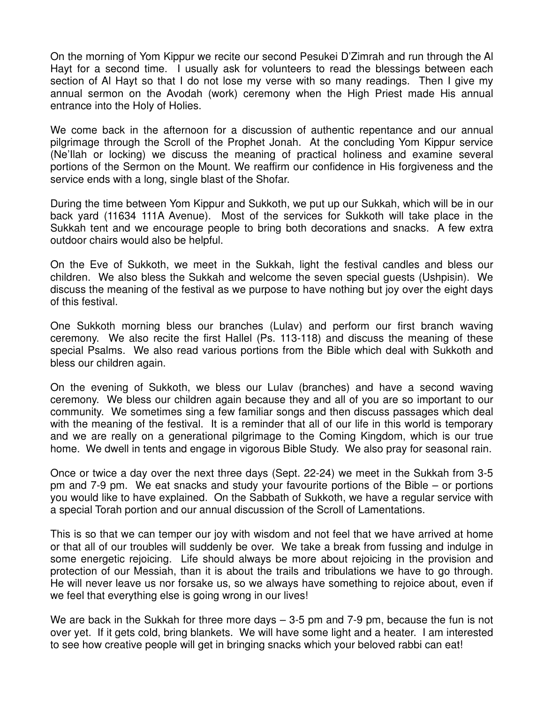On the morning of Yom Kippur we recite our second Pesukei D'Zimrah and run through the Al Hayt for a second time. I usually ask for volunteers to read the blessings between each section of Al Hayt so that I do not lose my verse with so many readings. Then I give my annual sermon on the Avodah (work) ceremony when the High Priest made His annual entrance into the Holy of Holies.

We come back in the afternoon for a discussion of authentic repentance and our annual pilgrimage through the Scroll of the Prophet Jonah. At the concluding Yom Kippur service (Ne'Ilah or locking) we discuss the meaning of practical holiness and examine several portions of the Sermon on the Mount. We reaffirm our confidence in His forgiveness and the service ends with a long, single blast of the Shofar.

During the time between Yom Kippur and Sukkoth, we put up our Sukkah, which will be in our back yard (11634 111A Avenue). Most of the services for Sukkoth will take place in the Sukkah tent and we encourage people to bring both decorations and snacks. A few extra outdoor chairs would also be helpful.

On the Eve of Sukkoth, we meet in the Sukkah, light the festival candles and bless our children. We also bless the Sukkah and welcome the seven special guests (Ushpisin). We discuss the meaning of the festival as we purpose to have nothing but joy over the eight days of this festival.

One Sukkoth morning bless our branches (Lulav) and perform our first branch waving ceremony. We also recite the first Hallel (Ps. 113-118) and discuss the meaning of these special Psalms. We also read various portions from the Bible which deal with Sukkoth and bless our children again.

On the evening of Sukkoth, we bless our Lulav (branches) and have a second waving ceremony. We bless our children again because they and all of you are so important to our community. We sometimes sing a few familiar songs and then discuss passages which deal with the meaning of the festival. It is a reminder that all of our life in this world is temporary and we are really on a generational pilgrimage to the Coming Kingdom, which is our true home. We dwell in tents and engage in vigorous Bible Study. We also pray for seasonal rain.

Once or twice a day over the next three days (Sept. 22-24) we meet in the Sukkah from 3-5 pm and 7-9 pm. We eat snacks and study your favourite portions of the Bible – or portions you would like to have explained. On the Sabbath of Sukkoth, we have a regular service with a special Torah portion and our annual discussion of the Scroll of Lamentations.

This is so that we can temper our joy with wisdom and not feel that we have arrived at home or that all of our troubles will suddenly be over. We take a break from fussing and indulge in some energetic rejoicing. Life should always be more about rejoicing in the provision and protection of our Messiah, than it is about the trails and tribulations we have to go through. He will never leave us nor forsake us, so we always have something to rejoice about, even if we feel that everything else is going wrong in our lives!

We are back in the Sukkah for three more days – 3-5 pm and 7-9 pm, because the fun is not over yet. If it gets cold, bring blankets. We will have some light and a heater. I am interested to see how creative people will get in bringing snacks which your beloved rabbi can eat!